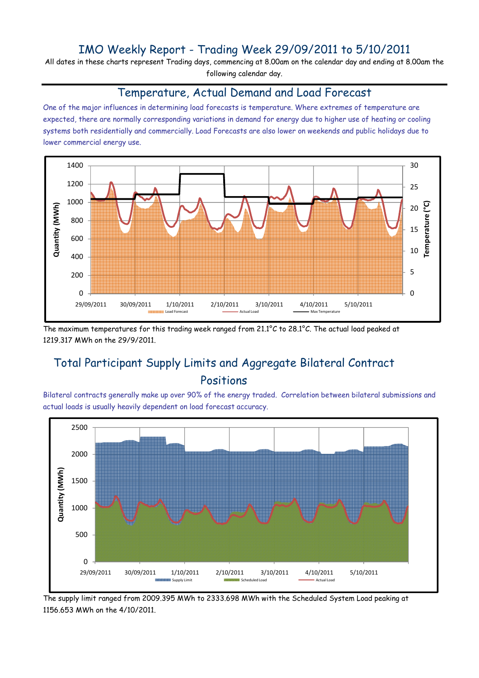### IMO Weekly Report - Trading Week 29/09/2011 to 5/10/2011

All dates in these charts represent Trading days, commencing at 8.00am on the calendar day and ending at 8.00am the following calendar day.

#### Temperature, Actual Demand and Load Forecast

One of the major influences in determining load forecasts is temperature. Where extremes of temperature are expected, there are normally corresponding variations in demand for energy due to higher use of heating or cooling systems both residentially and commercially. Load Forecasts are also lower on weekends and public holidays due to lower commercial energy use.



The maximum temperatures for this trading week ranged from 21.1°C to 28.1°C. The actual load peaked at 1219.317 MWh on the 29/9/2011.

# Total Participant Supply Limits and Aggregate Bilateral Contract Positions

Bilateral contracts generally make up over 90% of the energy traded. Correlation between bilateral submissions and actual loads is usually heavily dependent on load forecast accuracy.



The supply limit ranged from 2009.395 MWh to 2333.698 MWh with the Scheduled System Load peaking at 1156.653 MWh on the 4/10/2011.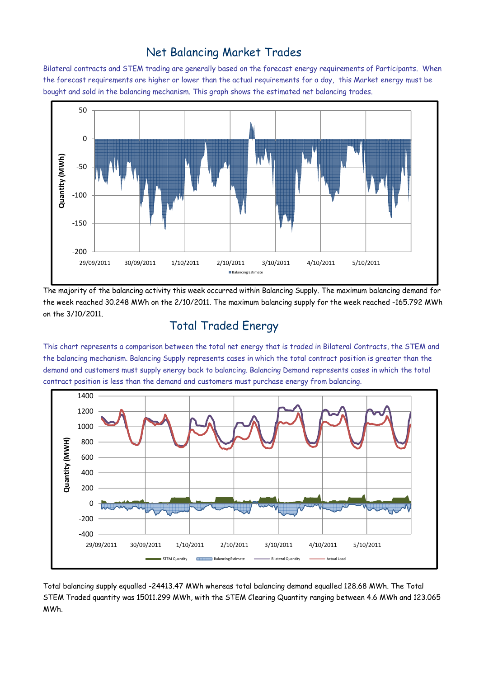### Net Balancing Market Trades

Bilateral contracts and STEM trading are generally based on the forecast energy requirements of Participants. When the forecast requirements are higher or lower than the actual requirements for a day, this Market energy must be bought and sold in the balancing mechanism. This graph shows the estimated net balancing trades.



The majority of the balancing activity this week occurred within Balancing Supply. The maximum balancing demand for the week reached 30.248 MWh on the 2/10/2011. The maximum balancing supply for the week reached -165.792 MWh on the 3/10/2011.

# Total Traded Energy

This chart represents a comparison between the total net energy that is traded in Bilateral Contracts, the STEM and the balancing mechanism. Balancing Supply represents cases in which the total contract position is greater than the demand and customers must supply energy back to balancing. Balancing Demand represents cases in which the total contract position is less than the demand and customers must purchase energy from balancing.



Total balancing supply equalled -24413.47 MWh whereas total balancing demand equalled 128.68 MWh. The Total STEM Traded quantity was 15011.299 MWh, with the STEM Clearing Quantity ranging between 4.6 MWh and 123.065 MWh.